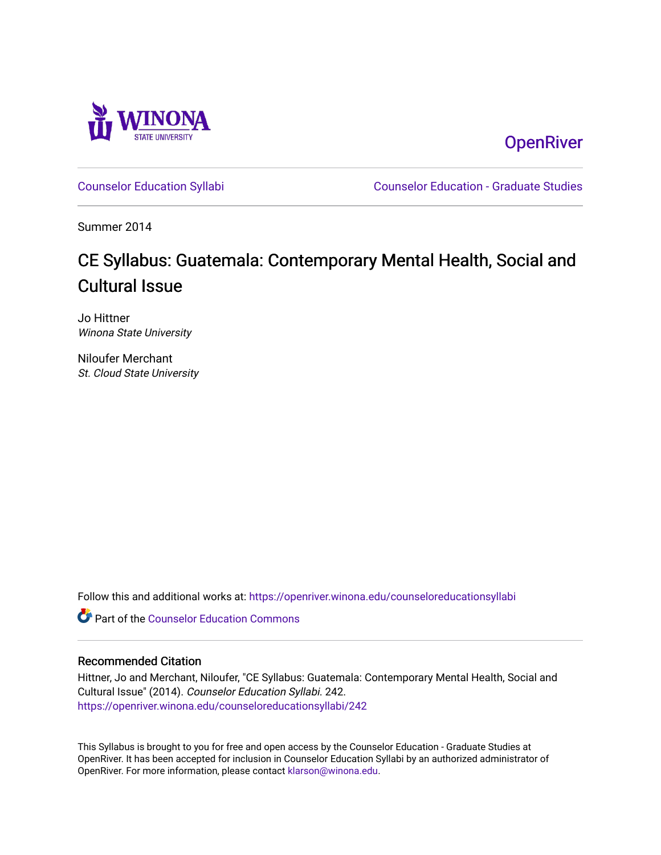

**OpenRiver** 

[Counselor Education Syllabi](https://openriver.winona.edu/counseloreducationsyllabi) [Counselor Education - Graduate Studies](https://openriver.winona.edu/counseloreducation) 

Summer 2014

# CE Syllabus: Guatemala: Contemporary Mental Health, Social and Cultural Issue

Jo Hittner Winona State University

Niloufer Merchant St. Cloud State University

Follow this and additional works at: [https://openriver.winona.edu/counseloreducationsyllabi](https://openriver.winona.edu/counseloreducationsyllabi?utm_source=openriver.winona.edu%2Fcounseloreducationsyllabi%2F242&utm_medium=PDF&utm_campaign=PDFCoverPages)

**C** Part of the Counselor Education Commons

#### Recommended Citation

Hittner, Jo and Merchant, Niloufer, "CE Syllabus: Guatemala: Contemporary Mental Health, Social and Cultural Issue" (2014). Counselor Education Syllabi. 242. [https://openriver.winona.edu/counseloreducationsyllabi/242](https://openriver.winona.edu/counseloreducationsyllabi/242?utm_source=openriver.winona.edu%2Fcounseloreducationsyllabi%2F242&utm_medium=PDF&utm_campaign=PDFCoverPages)

This Syllabus is brought to you for free and open access by the Counselor Education - Graduate Studies at OpenRiver. It has been accepted for inclusion in Counselor Education Syllabi by an authorized administrator of OpenRiver. For more information, please contact [klarson@winona.edu](mailto:klarson@winona.edu).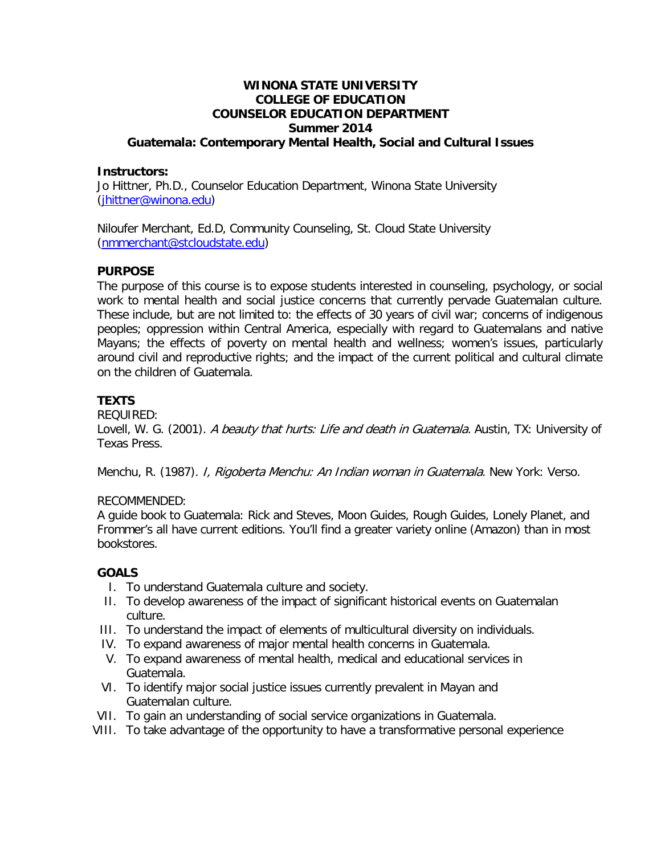#### **WINONA STATE UNIVERSITY COLLEGE OF EDUCATION COUNSELOR EDUCATION DEPARTMENT Summer 2014 Guatemala: Contemporary Mental Health, Social and Cultural Issues**

#### **Instructors:**

Jo Hittner, Ph.D., Counselor Education Department, Winona State University [\(jhittner@winona.edu\)](mailto:jhittner@winona.edu)

Niloufer Merchant, Ed.D, Community Counseling, St. Cloud State University [\(nmmerchant@stcloudstate.edu\)](mailto:nmmerchant@stcloudstate.edu)

#### **PURPOSE**

The purpose of this course is to expose students interested in counseling, psychology, or social work to mental health and social justice concerns that currently pervade Guatemalan culture. These include, but are not limited to: the effects of 30 years of civil war; concerns of indigenous peoples; oppression within Central America, especially with regard to Guatemalans and native Mayans; the effects of poverty on mental health and wellness; women's issues, particularly around civil and reproductive rights; and the impact of the current political and cultural climate on the children of Guatemala.

## **TEXTS**

REQUIRED:

Lovell, W. G. (2001). A beauty that hurts: Life and death in Guatemala. Austin, TX: University of Texas Press.

Menchu, R. (1987). *I, Rigoberta Menchu: An Indian woman in Guatemala.* New York: Verso.

## RECOMMENDED:

A guide book to Guatemala: Rick and Steves, Moon Guides, Rough Guides, Lonely Planet, and Frommer's all have current editions. You'll find a greater variety online (Amazon) than in most bookstores.

## **GOALS**

- I. To understand Guatemala culture and society.
- II. To develop awareness of the impact of significant historical events on Guatemalan culture.
- III. To understand the impact of elements of multicultural diversity on individuals.
- IV. To expand awareness of major mental health concerns in Guatemala.
- V. To expand awareness of mental health, medical and educational services in Guatemala.
- VI. To identify major social justice issues currently prevalent in Mayan and Guatemalan culture.
- VII. To gain an understanding of social service organizations in Guatemala.
- VIII. To take advantage of the opportunity to have a transformative personal experience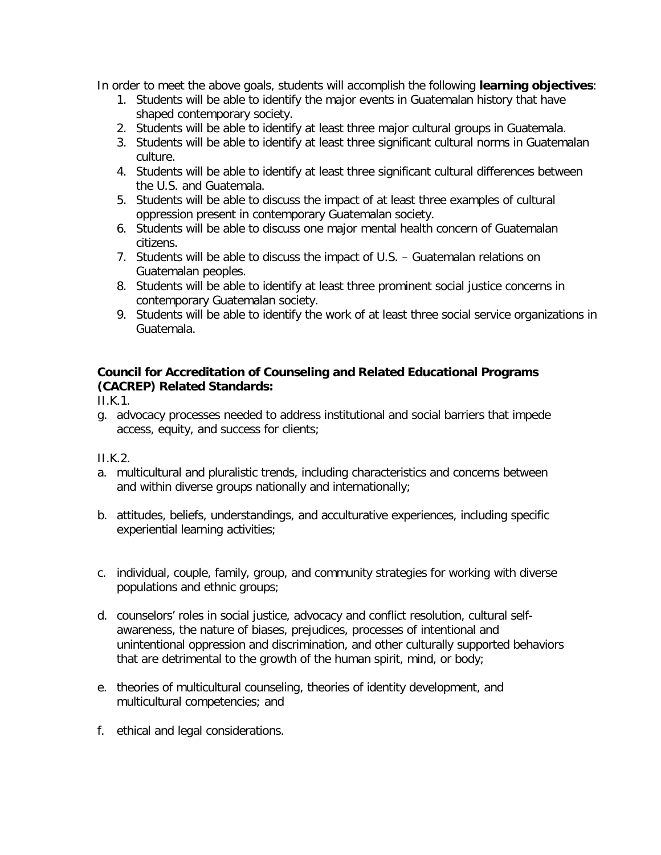In order to meet the above goals, students will accomplish the following **learning objectives**:

- 1. Students will be able to identify the major events in Guatemalan history that have shaped contemporary society.
- 2. Students will be able to identify at least three major cultural groups in Guatemala.
- 3. Students will be able to identify at least three significant cultural norms in Guatemalan culture.
- 4. Students will be able to identify at least three significant cultural differences between the U.S. and Guatemala.
- 5. Students will be able to discuss the impact of at least three examples of cultural oppression present in contemporary Guatemalan society.
- 6. Students will be able to discuss one major mental health concern of Guatemalan citizens.
- 7. Students will be able to discuss the impact of U.S. Guatemalan relations on Guatemalan peoples.
- 8. Students will be able to identify at least three prominent social justice concerns in contemporary Guatemalan society.
- 9. Students will be able to identify the work of at least three social service organizations in Guatemala.

## **Council for Accreditation of Counseling and Related Educational Programs (CACREP) Related Standards:**

II.K.1.

g. advocacy processes needed to address institutional and social barriers that impede access, equity, and success for clients;

II.K.2.

- a. multicultural and pluralistic trends, including characteristics and concerns between and within diverse groups nationally and internationally;
- b. attitudes, beliefs, understandings, and acculturative experiences, including specific experiential learning activities;
- c. individual, couple, family, group, and community strategies for working with diverse populations and ethnic groups;
- d. counselors' roles in social justice, advocacy and conflict resolution, cultural selfawareness, the nature of biases, prejudices, processes of intentional and unintentional oppression and discrimination, and other culturally supported behaviors that are detrimental to the growth of the human spirit, mind, or body;
- e. theories of multicultural counseling, theories of identity development, and multicultural competencies; and
- f. ethical and legal considerations.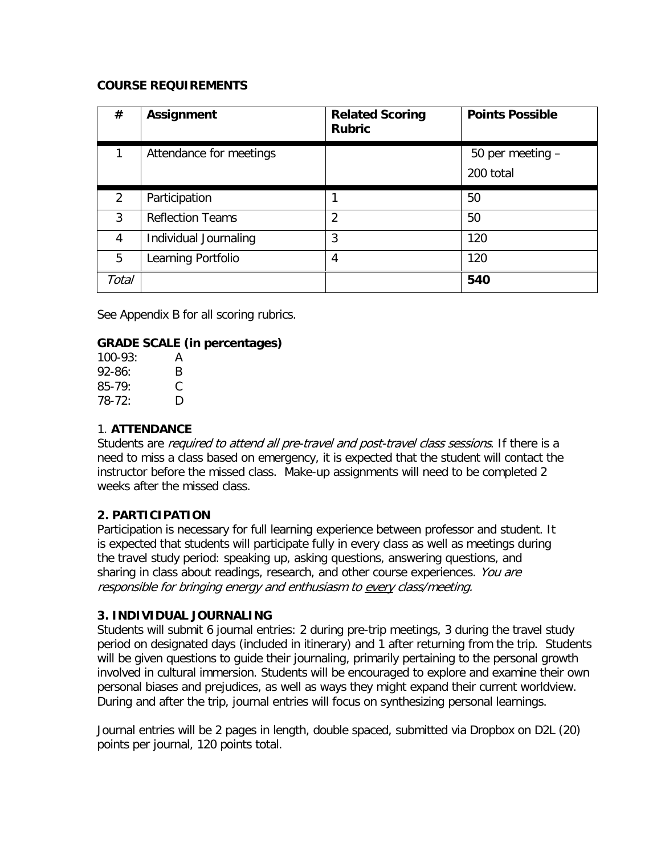#### **COURSE REQUIREMENTS**

| #     | <b>Assignment</b>       | <b>Related Scoring</b><br><b>Rubric</b> | <b>Points Possible</b> |
|-------|-------------------------|-----------------------------------------|------------------------|
|       | Attendance for meetings |                                         | 50 per meeting -       |
|       |                         |                                         | 200 total              |
| 2     | Participation           |                                         | 50                     |
| 3     | <b>Reflection Teams</b> | $\overline{2}$                          | 50                     |
| 4     | Individual Journaling   | 3                                       | 120                    |
| 5     | Learning Portfolio      | 4                                       | 120                    |
| Total |                         |                                         | 540                    |

See Appendix B for all scoring rubrics.

## **GRADE SCALE (in percentages)**

| $100-93:$ | А |
|-----------|---|
| $92-86:$  | B |
| $85-79$   | € |
| $78-72:$  | D |

## 1. **ATTENDANCE**

Students are *required to attend all pre-travel and post-travel class sessions*. If there is a need to miss a class based on emergency, it is expected that the student will contact the instructor before the missed class. Make-up assignments will need to be completed 2 weeks after the missed class.

## **2. PARTICIPATION**

Participation is necessary for full learning experience between professor and student. It is expected that students will participate fully in every class as well as meetings during the travel study period: speaking up, asking questions, answering questions, and sharing in class about readings, research, and other course experiences. You are responsible for bringing energy and enthusiasm to every class/meeting.

## **3. INDIVIDUAL JOURNALING**

Students will submit 6 journal entries: 2 during pre-trip meetings, 3 during the travel study period on designated days (included in itinerary) and 1 after returning from the trip. Students will be given questions to guide their journaling, primarily pertaining to the personal growth involved in cultural immersion. Students will be encouraged to explore and examine their own personal biases and prejudices, as well as ways they might expand their current worldview. During and after the trip, journal entries will focus on synthesizing personal learnings.

Journal entries will be 2 pages in length, double spaced, submitted via Dropbox on D2L (20) points per journal, 120 points total.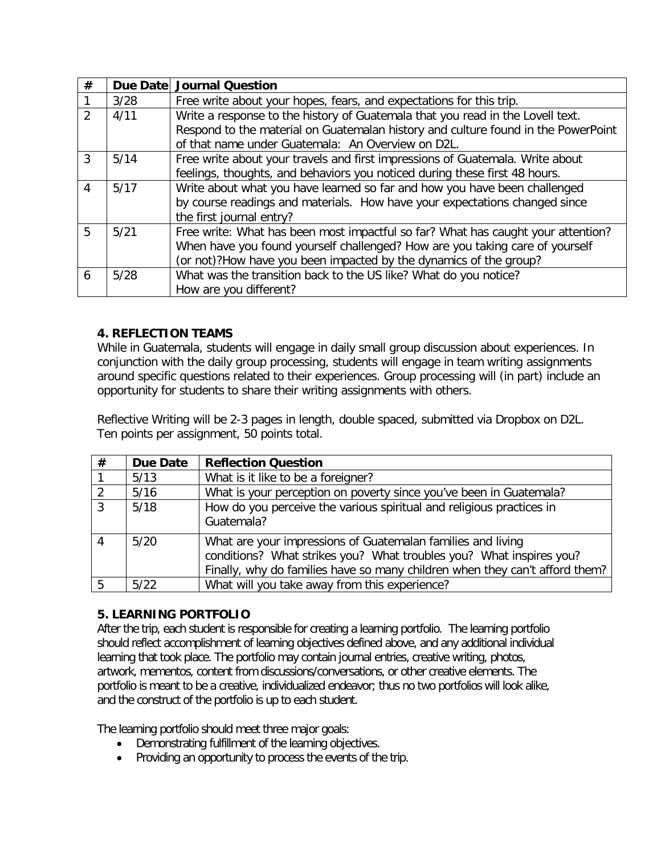| # |      | Due Date Journal Question                                                         |
|---|------|-----------------------------------------------------------------------------------|
|   | 3/28 | Free write about your hopes, fears, and expectations for this trip.               |
| 2 | 4/11 | Write a response to the history of Guatemala that you read in the Lovell text.    |
|   |      | Respond to the material on Guatemalan history and culture found in the PowerPoint |
|   |      | of that name under Guatemala: An Overview on D2L.                                 |
| 3 | 5/14 | Free write about your travels and first impressions of Guatemala. Write about     |
|   |      | feelings, thoughts, and behaviors you noticed during these first 48 hours.        |
| 4 | 5/17 | Write about what you have learned so far and how you have been challenged         |
|   |      | by course readings and materials. How have your expectations changed since        |
|   |      | the first journal entry?                                                          |
| 5 | 5/21 | Free write: What has been most impactful so far? What has caught your attention?  |
|   |      | When have you found yourself challenged? How are you taking care of yourself      |
|   |      | (or not)?How have you been impacted by the dynamics of the group?                 |
| 6 | 5/28 | What was the transition back to the US like? What do you notice?                  |
|   |      | How are you different?                                                            |

## **4. REFLECTION TEAMS**

While in Guatemala, students will engage in daily small group discussion about experiences. In conjunction with the daily group processing, students will engage in team writing assignments around specific questions related to their experiences. Group processing will (in part) include an opportunity for students to share their writing assignments with others.

Reflective Writing will be 2-3 pages in length, double spaced, submitted via Dropbox on D2L. Ten points per assignment, 50 points total.

| # | <b>Due Date</b> | <b>Reflection Question</b>                                                                                                                                                                                        |
|---|-----------------|-------------------------------------------------------------------------------------------------------------------------------------------------------------------------------------------------------------------|
|   | 5/13            | What is it like to be a foreigner?                                                                                                                                                                                |
|   | 5/16            | What is your perception on poverty since you've been in Guatemala?                                                                                                                                                |
| 3 | 5/18            | How do you perceive the various spiritual and religious practices in<br>Guatemala?                                                                                                                                |
| 4 | 5/20            | What are your impressions of Guatemalan families and living<br>conditions? What strikes you? What troubles you? What inspires you?<br>Finally, why do families have so many children when they can't afford them? |
|   | 5/22            | What will you take away from this experience?                                                                                                                                                                     |

## **5. LEARNING PORTFOLIO**

After the trip, each student is responsible for creating a learning portfolio. The learning portfolio should reflect accomplishment of learning objectives defined above, and any additional individual learning that took place. The portfolio may contain journal entries, creative writing, photos, artwork, mementos, content from discussions/conversations, or other creative elements. The portfolio is meant to be a creative, individualized endeavor; thus no two portfolios will look alike, and the construct of the portfolio is up to each student.

The learning portfolio should meet three major goals:

- Demonstrating fulfillment of the learning objectives.
- Providing an opportunity to process the events of the trip.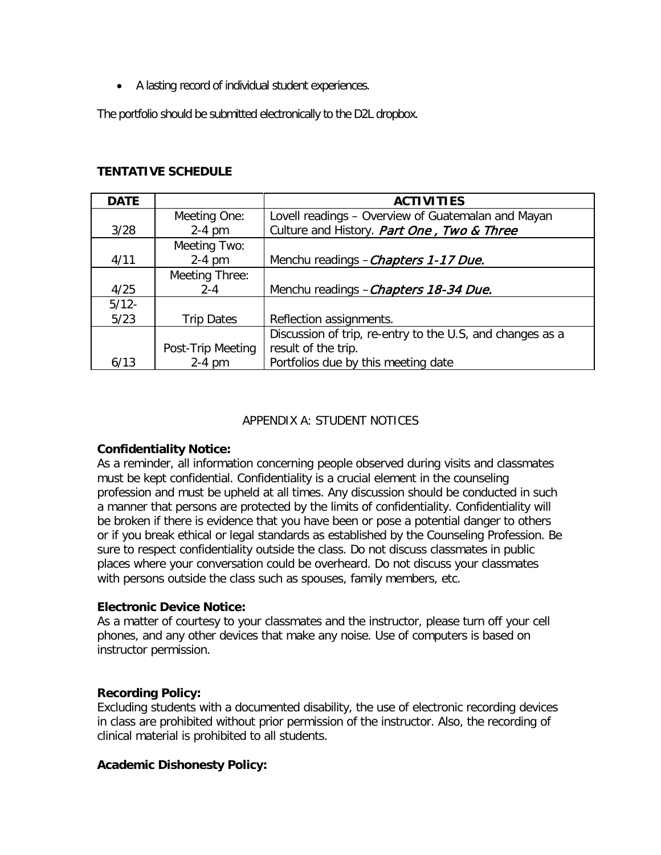• A lasting record of individual student experiences.

The portfolio should be submitted electronically to the D2L dropbox.

## **TENTATIVE SCHEDULE**

| <b>DATE</b> |                   | <b>ACTIVITIES</b>                                         |
|-------------|-------------------|-----------------------------------------------------------|
|             | Meeting One:      | Lovell readings - Overview of Guatemalan and Mayan        |
| 3/28        | $2-4$ pm          | Culture and History. Part One, Two & Three                |
|             | Meeting Two:      |                                                           |
| 4/11        | $2-4$ pm          | Menchu readings - Chapters 1-17 Due.                      |
|             | Meeting Three:    |                                                           |
| 4/25        | $2 - 4$           | Menchu readings - Chapters 18-34 Due.                     |
| $5/12 -$    |                   |                                                           |
| 5/23        | <b>Trip Dates</b> | Reflection assignments.                                   |
|             |                   | Discussion of trip, re-entry to the U.S, and changes as a |
|             | Post-Trip Meeting | result of the trip.                                       |
| 6/13        | $2-4$ pm          | Portfolios due by this meeting date                       |

## APPENDIX A: STUDENT NOTICES

## **Confidentiality Notice:**

As a reminder, all information concerning people observed during visits and classmates must be kept confidential. Confidentiality is a crucial element in the counseling profession and must be upheld at all times. Any discussion should be conducted in such a manner that persons are protected by the limits of confidentiality. Confidentiality will be broken if there is evidence that you have been or pose a potential danger to others or if you break ethical or legal standards as established by the Counseling Profession. Be sure to respect confidentiality outside the class. Do not discuss classmates in public places where your conversation could be overheard. Do not discuss your classmates with persons outside the class such as spouses, family members, etc.

## **Electronic Device Notice:**

As a matter of courtesy to your classmates and the instructor, please turn off your cell phones, and any other devices that make any noise. Use of computers is based on instructor permission.

## **Recording Policy:**

Excluding students with a documented disability, the use of electronic recording devices in class are prohibited without prior permission of the instructor. Also, the recording of clinical material is prohibited to all students.

## **Academic Dishonesty Policy:**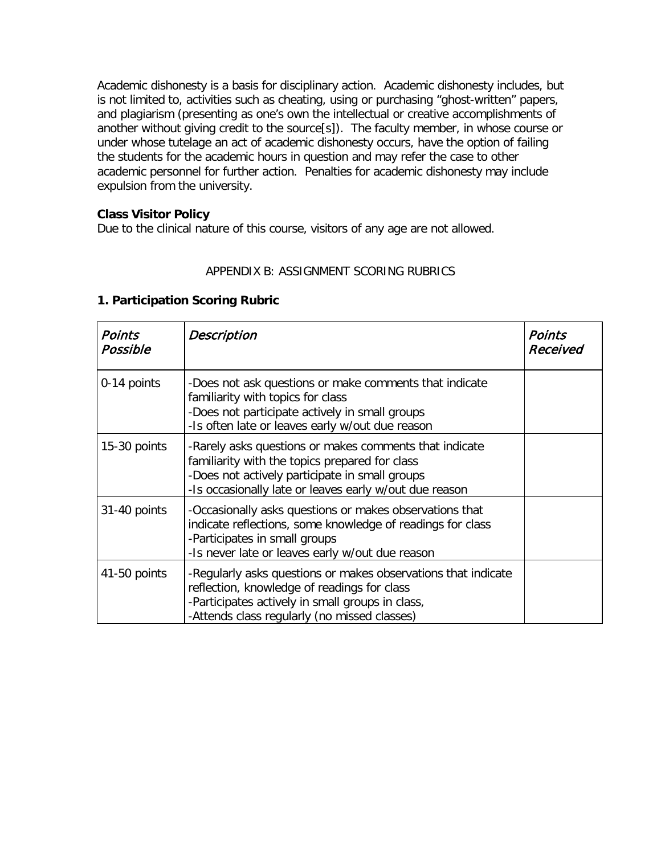Academic dishonesty is a basis for disciplinary action. Academic dishonesty includes, but is not limited to, activities such as cheating, using or purchasing "ghost-written" papers, and plagiarism (presenting as one's own the intellectual or creative accomplishments of another without giving credit to the source[s]). The faculty member, in whose course or under whose tutelage an act of academic dishonesty occurs, have the option of failing the students for the academic hours in question and may refer the case to other academic personnel for further action. Penalties for academic dishonesty may include expulsion from the university.

## **Class Visitor Policy**

Due to the clinical nature of this course, visitors of any age are not allowed.

## APPENDIX B: ASSIGNMENT SCORING RUBRICS

## **1. Participation Scoring Rubric**

| <b>Points</b><br>Possible | Description                                                                                                                                                                                                          | Points<br>Received |
|---------------------------|----------------------------------------------------------------------------------------------------------------------------------------------------------------------------------------------------------------------|--------------------|
| 0-14 points               | -Does not ask questions or make comments that indicate<br>familiarity with topics for class<br>-Does not participate actively in small groups<br>-Is often late or leaves early w/out due reason                     |                    |
| 15-30 points              | -Rarely asks questions or makes comments that indicate<br>familiarity with the topics prepared for class<br>-Does not actively participate in small groups<br>-Is occasionally late or leaves early w/out due reason |                    |
| 31-40 points              | -Occasionally asks questions or makes observations that<br>indicate reflections, some knowledge of readings for class<br>-Participates in small groups<br>-Is never late or leaves early w/out due reason            |                    |
| 41-50 points              | -Regularly asks questions or makes observations that indicate<br>reflection, knowledge of readings for class<br>-Participates actively in small groups in class,<br>-Attends class regularly (no missed classes)     |                    |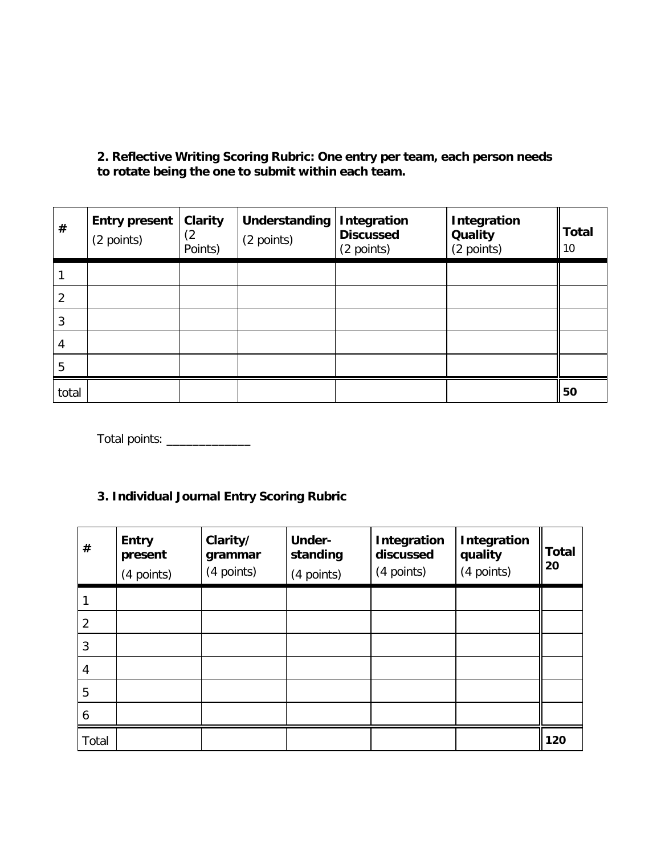**2. Reflective Writing Scoring Rubric: One entry per team, each person needs to rotate being the one to submit within each team.**

| #     | <b>Entry present</b><br>(2 points) | Clarity<br>(2<br>Points) | Understanding<br>(2 points) | Integration<br><b>Discussed</b><br>(2 points) | Integration<br><b>Quality</b><br>(2 points) | <b>Total</b><br>10 |
|-------|------------------------------------|--------------------------|-----------------------------|-----------------------------------------------|---------------------------------------------|--------------------|
|       |                                    |                          |                             |                                               |                                             |                    |
| 2     |                                    |                          |                             |                                               |                                             |                    |
| 3     |                                    |                          |                             |                                               |                                             |                    |
| 4     |                                    |                          |                             |                                               |                                             |                    |
| 5     |                                    |                          |                             |                                               |                                             |                    |
| total |                                    |                          |                             |                                               |                                             | 50                 |

Total points: \_\_\_\_\_\_\_\_\_\_\_\_\_

## **3. Individual Journal Entry Scoring Rubric**

| #     | <b>Entry</b><br>present<br>(4 points) | Clarity/<br>grammar<br>(4 points) | <b>Under-</b><br>standing<br>(4 points) | <b>Integration</b><br>discussed<br>(4 points) | <b>Integration</b><br>quality<br>(4 points) | Total<br>20 |
|-------|---------------------------------------|-----------------------------------|-----------------------------------------|-----------------------------------------------|---------------------------------------------|-------------|
|       |                                       |                                   |                                         |                                               |                                             |             |
| 2     |                                       |                                   |                                         |                                               |                                             |             |
| 3     |                                       |                                   |                                         |                                               |                                             |             |
| 4     |                                       |                                   |                                         |                                               |                                             |             |
| 5     |                                       |                                   |                                         |                                               |                                             |             |
| 6     |                                       |                                   |                                         |                                               |                                             |             |
| Total |                                       |                                   |                                         |                                               |                                             | 120         |